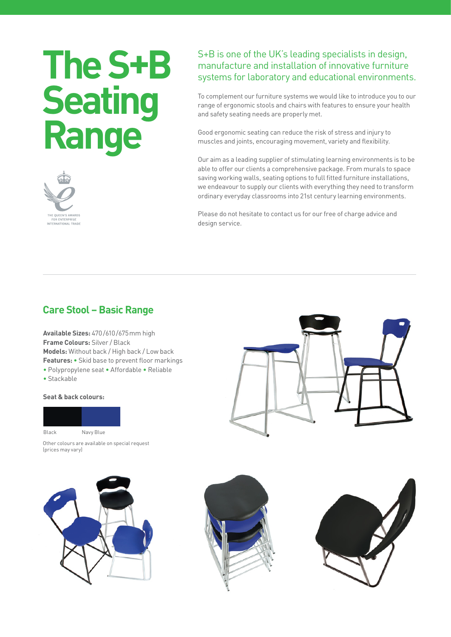# **The S+B Seating Range**



## S+B is one of the UK's leading specialists in design, manufacture and installation of innovative furniture systems for laboratory and educational environments.

To complement our furniture systems we would like to introduce you to our range of ergonomic stools and chairs with features to ensure your health and safety seating needs are properly met.

Good ergonomic seating can reduce the risk of stress and injury to muscles and joints, encouraging movement, variety and flexibility.

Our aim as a leading supplier of stimulating learning environments is to be able to offer our clients a comprehensive package. From murals to space saving working walls, seating options to full fitted furniture installations, we endeavour to supply our clients with everything they need to transform ordinary everyday classrooms into 21st century learning environments.

Please do not hesitate to contact us for our free of charge advice and design service.

## **Care Stool – Basic Range**

**Available Sizes:** 470/610/675mm high **Frame Colours:** Silver / Black **Models:** Without back / High back / Low back **Features:** • Skid base to prevent floor markings • Polypropylene seat • Affordable • Reliable

• Stackable

#### **Seat & back colours:**



Other colours are available on special request (prices may vary)